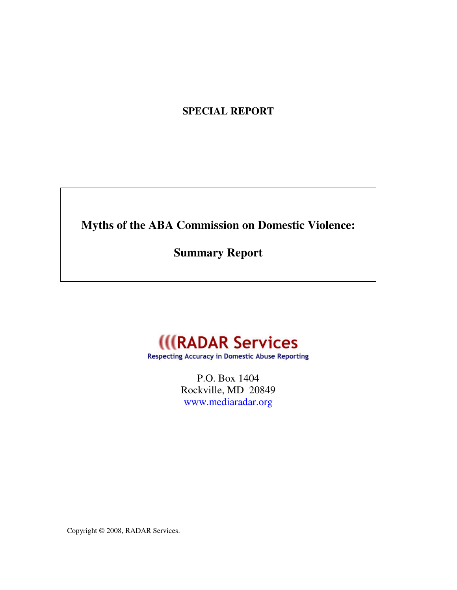# **SPECIAL REPORT**

**Myths of the ABA Commission on Domestic Violence:** 

**Summary Report** 



**Respecting Accuracy in Domestic Abuse Reporting** 

P.O. Box 1404 Rockville, MD 20849 www.mediaradar.org

Copyright © 2008, RADAR Services.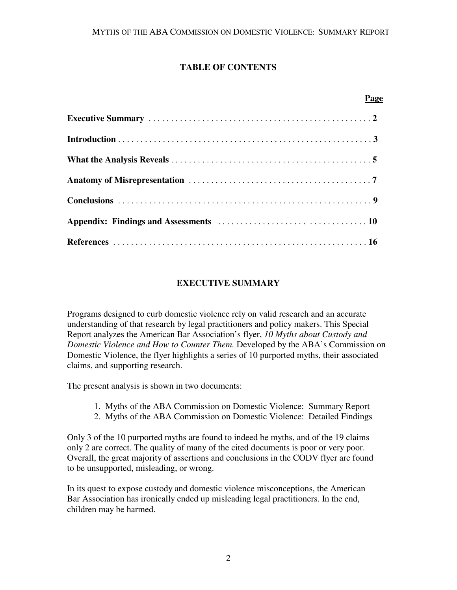## **TABLE OF CONTENTS**

| Page |
|------|
|      |
|      |
|      |
|      |
|      |
|      |
|      |

## **EXECUTIVE SUMMARY**

Programs designed to curb domestic violence rely on valid research and an accurate understanding of that research by legal practitioners and policy makers. This Special Report analyzes the American Bar Association's flyer, *10 Myths about Custody and Domestic Violence and How to Counter Them.* Developed by the ABA's Commission on Domestic Violence, the flyer highlights a series of 10 purported myths, their associated claims, and supporting research.

The present analysis is shown in two documents:

- 1. Myths of the ABA Commission on Domestic Violence: Summary Report
- 2. Myths of the ABA Commission on Domestic Violence: Detailed Findings

Only 3 of the 10 purported myths are found to indeed be myths, and of the 19 claims only 2 are correct. The quality of many of the cited documents is poor or very poor. Overall, the great majority of assertions and conclusions in the CODV flyer are found to be unsupported, misleading, or wrong.

In its quest to expose custody and domestic violence misconceptions, the American Bar Association has ironically ended up misleading legal practitioners. In the end, children may be harmed.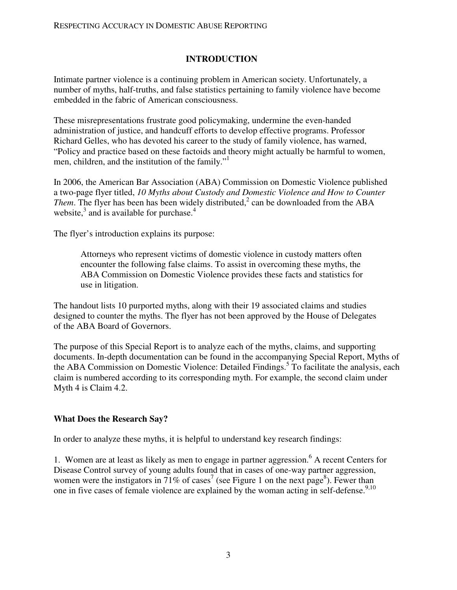### **INTRODUCTION**

Intimate partner violence is a continuing problem in American society. Unfortunately, a number of myths, half-truths, and false statistics pertaining to family violence have become embedded in the fabric of American consciousness.

These misrepresentations frustrate good policymaking, undermine the even-handed administration of justice, and handcuff efforts to develop effective programs. Professor Richard Gelles, who has devoted his career to the study of family violence, has warned, "Policy and practice based on these factoids and theory might actually be harmful to women, men, children, and the institution of the family."

In 2006, the American Bar Association (ABA) Commission on Domestic Violence published a two-page flyer titled, *10 Myths about Custody and Domestic Violence and How to Counter Them*. The flyer has been has been widely distributed,<sup>2</sup> can be downloaded from the ABA website, $3$  and is available for purchase. $4$ 

The flyer's introduction explains its purpose:

Attorneys who represent victims of domestic violence in custody matters often encounter the following false claims. To assist in overcoming these myths, the ABA Commission on Domestic Violence provides these facts and statistics for use in litigation.

The handout lists 10 purported myths, along with their 19 associated claims and studies designed to counter the myths. The flyer has not been approved by the House of Delegates of the ABA Board of Governors.

The purpose of this Special Report is to analyze each of the myths, claims, and supporting documents. In-depth documentation can be found in the accompanying Special Report, Myths of the ABA Commission on Domestic Violence: Detailed Findings.<sup>5</sup> To facilitate the analysis, each claim is numbered according to its corresponding myth. For example, the second claim under Myth 4 is Claim 4.2.

### **What Does the Research Say?**

In order to analyze these myths, it is helpful to understand key research findings:

1. Women are at least as likely as men to engage in partner aggression.<sup>6</sup> A recent Centers for Disease Control survey of young adults found that in cases of one-way partner aggression, women were the instigators in 71% of cases<sup>7</sup> (see Figure 1 on the next page<sup>8</sup>). Fewer than one in five cases of female violence are explained by the woman acting in self-defense.<sup>9,10</sup>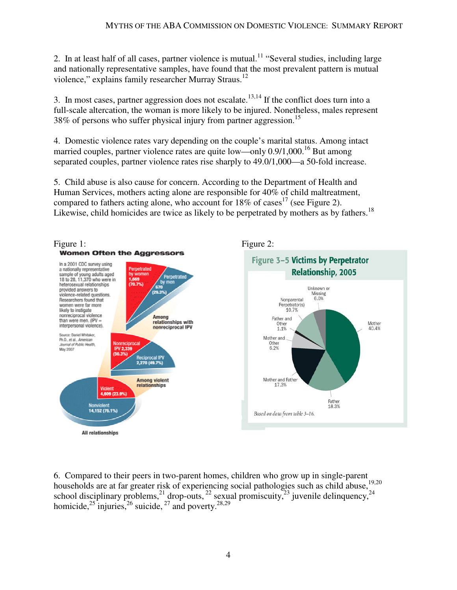2. In at least half of all cases, partner violence is mutual.<sup>11</sup> "Several studies, including large and nationally representative samples, have found that the most prevalent pattern is mutual violence," explains family researcher Murray Straus.<sup>12</sup>

3. In most cases, partner aggression does not escalate.<sup>13,14</sup> If the conflict does turn into a full-scale altercation, the woman is more likely to be injured. Nonetheless, males represent 38% of persons who suffer physical injury from partner aggression.<sup>15</sup>

4. Domestic violence rates vary depending on the couple's marital status. Among intact married couples, partner violence rates are quite low—only 0.9/1,000.<sup>16</sup> But among separated couples, partner violence rates rise sharply to 49.0/1,000—a 50-fold increase.

5. Child abuse is also cause for concern. According to the Department of Health and Human Services, mothers acting alone are responsible for 40% of child maltreatment, compared to fathers acting alone, who account for  $18\%$  of cases<sup>17</sup> (see Figure 2). Likewise, child homicides are twice as likely to be perpetrated by mothers as by fathers.<sup>18</sup>



6. Compared to their peers in two-parent homes, children who grow up in single-parent households are at far greater risk of experiencing social pathologies such as child abuse,<sup>19,20</sup> school disciplinary problems,  $^{21}$  drop-outs,  $^{22}$  sexual promiscuity,  $^{23}$  juvenile delinquency,  $^{24}$ homicide,<sup>25</sup> injuries,<sup>26</sup> suicide,<sup>27</sup> and poverty.<sup>28,29</sup>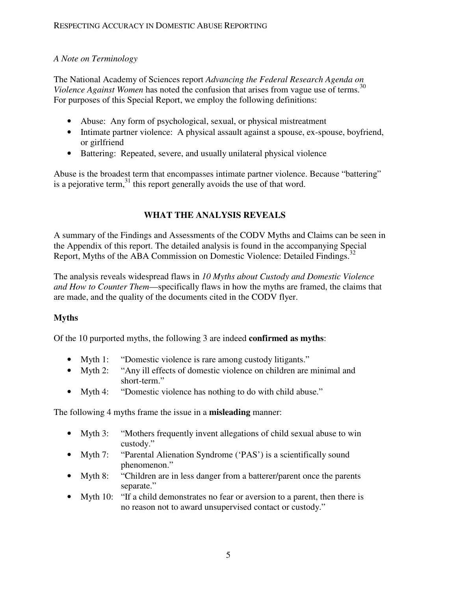### *A Note on Terminology*

The National Academy of Sciences report *Advancing the Federal Research Agenda on Violence Against Women* has noted the confusion that arises from vague use of terms.<sup>30</sup> For purposes of this Special Report, we employ the following definitions:

- Abuse: Any form of psychological, sexual, or physical mistreatment
- Intimate partner violence: A physical assault against a spouse, ex-spouse, boyfriend, or girlfriend
- Battering: Repeated, severe, and usually unilateral physical violence

Abuse is the broadest term that encompasses intimate partner violence. Because "battering" is a pejorative term, $31$  this report generally avoids the use of that word.

## **WHAT THE ANALYSIS REVEALS**

A summary of the Findings and Assessments of the CODV Myths and Claims can be seen in the Appendix of this report. The detailed analysis is found in the accompanying Special Report, Myths of the ABA Commission on Domestic Violence: Detailed Findings.<sup>32</sup>

The analysis reveals widespread flaws in *10 Myths about Custody and Domestic Violence and How to Counter Them*—specifically flaws in how the myths are framed, the claims that are made, and the quality of the documents cited in the CODV flyer.

## **Myths**

Of the 10 purported myths, the following 3 are indeed **confirmed as myths**:

- Myth 1: "Domestic violence is rare among custody litigants."
- Myth 2: "Any ill effects of domestic violence on children are minimal and short-term."
- Myth 4: "Domestic violence has nothing to do with child abuse."

The following 4 myths frame the issue in a **misleading** manner:

- Myth 3: "Mothers frequently invent allegations of child sexual abuse to win custody."
- Myth 7: "Parental Alienation Syndrome ('PAS') is a scientifically sound phenomenon."
- Myth 8: "Children are in less danger from a batterer/parent once the parents separate."
- Myth 10: "If a child demonstrates no fear or aversion to a parent, then there is no reason not to award unsupervised contact or custody."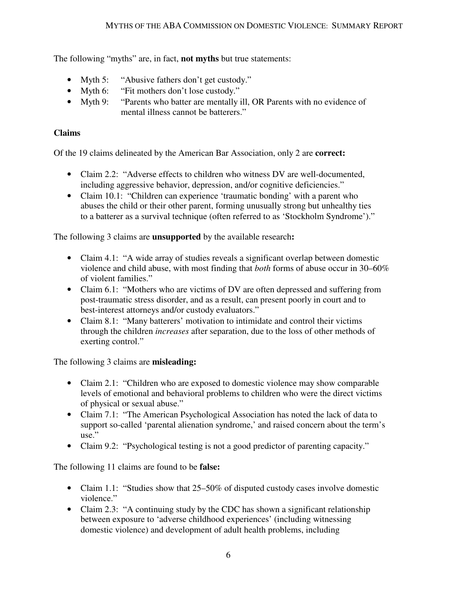The following "myths" are, in fact, **not myths** but true statements:

- Myth 5: "Abusive fathers don't get custody."
- Myth 6: "Fit mothers don't lose custody."
- Myth 9: "Parents who batter are mentally ill, OR Parents with no evidence of mental illness cannot be batterers."

## **Claims**

Of the 19 claims delineated by the American Bar Association, only 2 are **correct:**

- Claim 2.2: "Adverse effects to children who witness DV are well-documented, including aggressive behavior, depression, and/or cognitive deficiencies."
- Claim 10.1: "Children can experience 'traumatic bonding' with a parent who abuses the child or their other parent, forming unusually strong but unhealthy ties to a batterer as a survival technique (often referred to as 'Stockholm Syndrome')."

The following 3 claims are **unsupported** by the available research**:**

- Claim 4.1: "A wide array of studies reveals a significant overlap between domestic violence and child abuse, with most finding that *both* forms of abuse occur in 30–60% of violent families."
- Claim 6.1: "Mothers who are victims of DV are often depressed and suffering from post-traumatic stress disorder, and as a result, can present poorly in court and to best-interest attorneys and/or custody evaluators."
- Claim 8.1: "Many batterers' motivation to intimidate and control their victims through the children *increases* after separation, due to the loss of other methods of exerting control."

The following 3 claims are **misleading:** 

- Claim 2.1: "Children who are exposed to domestic violence may show comparable levels of emotional and behavioral problems to children who were the direct victims of physical or sexual abuse."
- Claim 7.1: "The American Psychological Association has noted the lack of data to support so-called 'parental alienation syndrome,' and raised concern about the term's use."
- Claim 9.2: "Psychological testing is not a good predictor of parenting capacity."

The following 11 claims are found to be **false:** 

- Claim 1.1: "Studies show that 25–50% of disputed custody cases involve domestic violence."
- Claim 2.3: "A continuing study by the CDC has shown a significant relationship between exposure to 'adverse childhood experiences' (including witnessing domestic violence) and development of adult health problems, including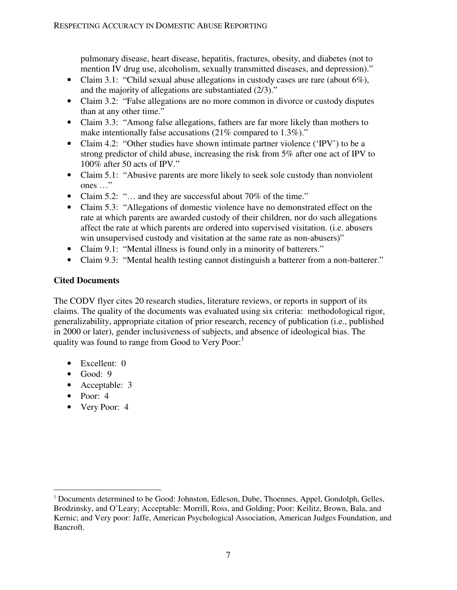pulmonary disease, heart disease, hepatitis, fractures, obesity, and diabetes (not to mention IV drug use, alcoholism, sexually transmitted diseases, and depression)."

- Claim 3.1: "Child sexual abuse allegations in custody cases are rare (about  $6\%$ ), and the majority of allegations are substantiated (2/3)."
- Claim 3.2: "False allegations are no more common in divorce or custody disputes than at any other time."
- Claim 3.3: "Among false allegations, fathers are far more likely than mothers to make intentionally false accusations (21% compared to 1.3%)."
- Claim 4.2: "Other studies have shown intimate partner violence ('IPV') to be a strong predictor of child abuse, increasing the risk from 5% after one act of IPV to 100% after 50 acts of IPV."
- Claim 5.1: "Abusive parents are more likely to seek sole custody than nonviolent ones …"
- Claim 5.2: "... and they are successful about 70% of the time."
- Claim 5.3: "Allegations of domestic violence have no demonstrated effect on the rate at which parents are awarded custody of their children, nor do such allegations affect the rate at which parents are ordered into supervised visitation. (i.e. abusers win unsupervised custody and visitation at the same rate as non-abusers)"
- Claim 9.1: "Mental illness is found only in a minority of batterers."
- Claim 9.3: "Mental health testing cannot distinguish a batterer from a non-batterer."

## **Cited Documents**

The CODV flyer cites 20 research studies, literature reviews, or reports in support of its claims. The quality of the documents was evaluated using six criteria: methodological rigor, generalizability, appropriate citation of prior research, recency of publication (i.e., published in 2000 or later), gender inclusiveness of subjects, and absence of ideological bias. The quality was found to range from Good to Very Poor:

- Excellent: 0
- $\bullet$  Good: 9
- Acceptable: 3
- Poor: 4

 $\overline{a}$ 

• Very Poor: 4

 $<sup>1</sup>$  Documents determined to be Good: Johnston, Edleson, Dube, Thoennes, Appel, Gondolph, Gelles,</sup> Brodzinsky, and O'Leary; Acceptable: Morrill, Ross, and Golding; Poor: Keilitz, Brown, Bala, and Kernic; and Very poor: Jaffe, American Psychological Association, American Judges Foundation, and Bancroft.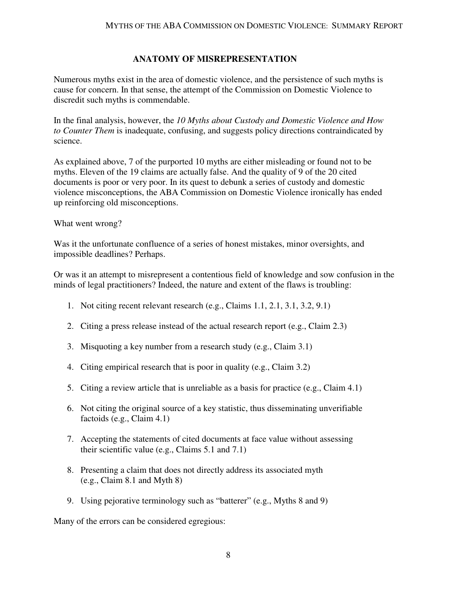#### **ANATOMY OF MISREPRESENTATION**

Numerous myths exist in the area of domestic violence, and the persistence of such myths is cause for concern. In that sense, the attempt of the Commission on Domestic Violence to discredit such myths is commendable.

In the final analysis, however, the *10 Myths about Custody and Domestic Violence and How to Counter Them* is inadequate, confusing, and suggests policy directions contraindicated by science.

As explained above, 7 of the purported 10 myths are either misleading or found not to be myths. Eleven of the 19 claims are actually false. And the quality of 9 of the 20 cited documents is poor or very poor. In its quest to debunk a series of custody and domestic violence misconceptions, the ABA Commission on Domestic Violence ironically has ended up reinforcing old misconceptions.

What went wrong?

Was it the unfortunate confluence of a series of honest mistakes, minor oversights, and impossible deadlines? Perhaps.

Or was it an attempt to misrepresent a contentious field of knowledge and sow confusion in the minds of legal practitioners? Indeed, the nature and extent of the flaws is troubling:

- 1. Not citing recent relevant research (e.g., Claims 1.1, 2.1, 3.1, 3.2, 9.1)
- 2. Citing a press release instead of the actual research report (e.g., Claim 2.3)
- 3. Misquoting a key number from a research study (e.g., Claim 3.1)
- 4. Citing empirical research that is poor in quality (e.g., Claim 3.2)
- 5. Citing a review article that is unreliable as a basis for practice (e.g., Claim 4.1)
- 6. Not citing the original source of a key statistic, thus disseminating unverifiable factoids (e.g., Claim 4.1)
- 7. Accepting the statements of cited documents at face value without assessing their scientific value (e.g., Claims 5.1 and 7.1)
- 8. Presenting a claim that does not directly address its associated myth (e.g., Claim 8.1 and Myth 8)
- 9. Using pejorative terminology such as "batterer" (e.g., Myths 8 and 9)

Many of the errors can be considered egregious: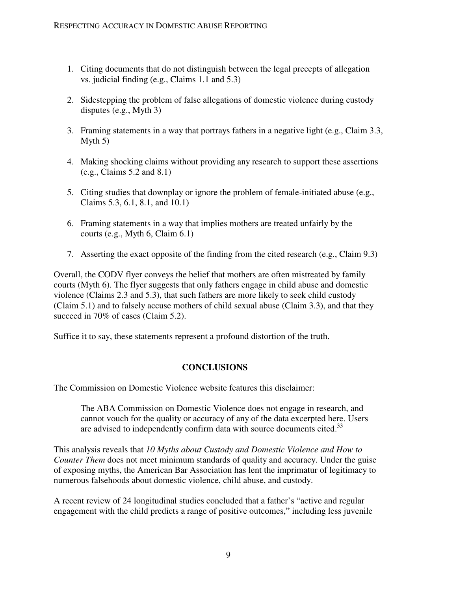- 1. Citing documents that do not distinguish between the legal precepts of allegation vs. judicial finding (e.g., Claims 1.1 and 5.3)
- 2. Sidestepping the problem of false allegations of domestic violence during custody disputes (e.g., Myth 3)
- 3. Framing statements in a way that portrays fathers in a negative light (e.g., Claim 3.3, Myth 5)
- 4. Making shocking claims without providing any research to support these assertions (e.g., Claims 5.2 and 8.1)
- 5. Citing studies that downplay or ignore the problem of female-initiated abuse (e.g., Claims 5.3, 6.1, 8.1, and 10.1)
- 6. Framing statements in a way that implies mothers are treated unfairly by the courts (e.g., Myth 6, Claim 6.1)
- 7. Asserting the exact opposite of the finding from the cited research (e.g., Claim 9.3)

Overall, the CODV flyer conveys the belief that mothers are often mistreated by family courts (Myth 6). The flyer suggests that only fathers engage in child abuse and domestic violence (Claims 2.3 and 5.3), that such fathers are more likely to seek child custody (Claim 5.1) and to falsely accuse mothers of child sexual abuse (Claim 3.3), and that they succeed in 70% of cases (Claim 5.2).

Suffice it to say, these statements represent a profound distortion of the truth.

## **CONCLUSIONS**

The Commission on Domestic Violence website features this disclaimer:

The ABA Commission on Domestic Violence does not engage in research, and cannot vouch for the quality or accuracy of any of the data excerpted here. Users are advised to independently confirm data with source documents cited.<sup>33</sup>

This analysis reveals that *10 Myths about Custody and Domestic Violence and How to Counter Them* does not meet minimum standards of quality and accuracy. Under the guise of exposing myths, the American Bar Association has lent the imprimatur of legitimacy to numerous falsehoods about domestic violence, child abuse, and custody.

A recent review of 24 longitudinal studies concluded that a father's "active and regular engagement with the child predicts a range of positive outcomes," including less juvenile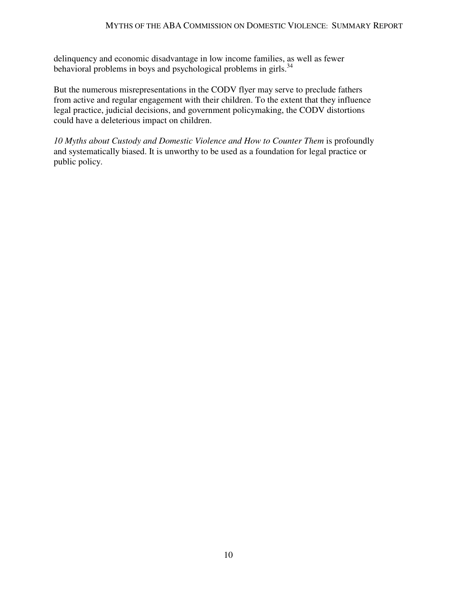delinquency and economic disadvantage in low income families, as well as fewer behavioral problems in boys and psychological problems in girls.<sup>34</sup>

But the numerous misrepresentations in the CODV flyer may serve to preclude fathers from active and regular engagement with their children. To the extent that they influence legal practice, judicial decisions, and government policymaking, the CODV distortions could have a deleterious impact on children.

*10 Myths about Custody and Domestic Violence and How to Counter Them* is profoundly and systematically biased. It is unworthy to be used as a foundation for legal practice or public policy.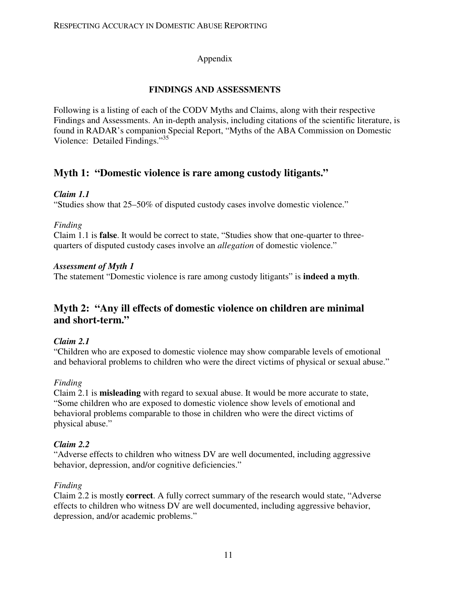### Appendix

### **FINDINGS AND ASSESSMENTS**

Following is a listing of each of the CODV Myths and Claims, along with their respective Findings and Assessments. An in-depth analysis, including citations of the scientific literature, is found in RADAR's companion Special Report, "Myths of the ABA Commission on Domestic Violence: Detailed Findings."<sup>35</sup>

## **Myth 1: "Domestic violence is rare among custody litigants."**

### *Claim 1.1*

"Studies show that 25–50% of disputed custody cases involve domestic violence."

### *Finding*

Claim 1.1 is **false**. It would be correct to state, "Studies show that one-quarter to threequarters of disputed custody cases involve an *allegation* of domestic violence."

### *Assessment of Myth 1*

The statement "Domestic violence is rare among custody litigants" is **indeed a myth**.

## **Myth 2: "Any ill effects of domestic violence on children are minimal and short-term."**

## *Claim 2.1*

"Children who are exposed to domestic violence may show comparable levels of emotional and behavioral problems to children who were the direct victims of physical or sexual abuse."

## *Finding*

Claim 2.1 is **misleading** with regard to sexual abuse. It would be more accurate to state, "Some children who are exposed to domestic violence show levels of emotional and behavioral problems comparable to those in children who were the direct victims of physical abuse."

## *Claim 2.2*

"Adverse effects to children who witness DV are well documented, including aggressive behavior, depression, and/or cognitive deficiencies."

## *Finding*

Claim 2.2 is mostly **correct**. A fully correct summary of the research would state, "Adverse effects to children who witness DV are well documented, including aggressive behavior, depression, and/or academic problems."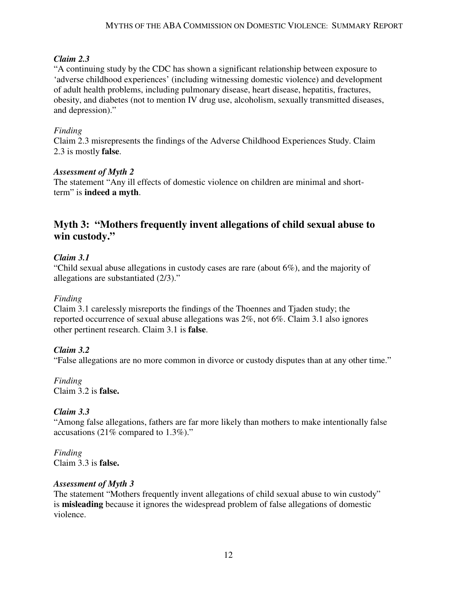### *Claim 2.3*

"A continuing study by the CDC has shown a significant relationship between exposure to 'adverse childhood experiences' (including witnessing domestic violence) and development of adult health problems, including pulmonary disease, heart disease, hepatitis, fractures, obesity, and diabetes (not to mention IV drug use, alcoholism, sexually transmitted diseases, and depression)."

## *Finding*

Claim 2.3 misrepresents the findings of the Adverse Childhood Experiences Study. Claim 2.3 is mostly **false**.

### *Assessment of Myth 2*

The statement "Any ill effects of domestic violence on children are minimal and shortterm" is **indeed a myth**.

## **Myth 3: "Mothers frequently invent allegations of child sexual abuse to win custody."**

## *Claim 3.1*

"Child sexual abuse allegations in custody cases are rare (about 6%), and the majority of allegations are substantiated (2/3)."

### *Finding*

Claim 3.1 carelessly misreports the findings of the Thoennes and Tjaden study; the reported occurrence of sexual abuse allegations was 2%, not 6%. Claim 3.1 also ignores other pertinent research. Claim 3.1 is **false**.

## *Claim 3.2*

"False allegations are no more common in divorce or custody disputes than at any other time."

*Finding*  Claim 3.2 is **false.** 

### *Claim 3.3*

"Among false allegations, fathers are far more likely than mothers to make intentionally false accusations (21% compared to 1.3%)."

*Finding*  Claim 3.3 is **false.** 

### *Assessment of Myth 3*

The statement "Mothers frequently invent allegations of child sexual abuse to win custody" is **misleading** because it ignores the widespread problem of false allegations of domestic violence.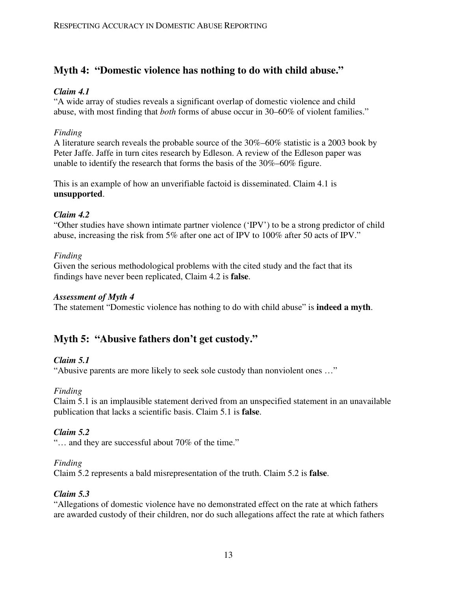# **Myth 4: "Domestic violence has nothing to do with child abuse."**

### *Claim 4.1*

"A wide array of studies reveals a significant overlap of domestic violence and child abuse, with most finding that *both* forms of abuse occur in 30–60% of violent families."

### *Finding*

A literature search reveals the probable source of the 30%–60% statistic is a 2003 book by Peter Jaffe. Jaffe in turn cites research by Edleson. A review of the Edleson paper was unable to identify the research that forms the basis of the 30%–60% figure.

This is an example of how an unverifiable factoid is disseminated. Claim 4.1 is **unsupported**.

### *Claim 4.2*

"Other studies have shown intimate partner violence ('IPV') to be a strong predictor of child abuse, increasing the risk from 5% after one act of IPV to 100% after 50 acts of IPV."

### *Finding*

Given the serious methodological problems with the cited study and the fact that its findings have never been replicated, Claim 4.2 is **false**.

### *Assessment of Myth 4*

The statement "Domestic violence has nothing to do with child abuse" is **indeed a myth**.

# **Myth 5: "Abusive fathers don't get custody."**

### *Claim 5.1*

"Abusive parents are more likely to seek sole custody than nonviolent ones …"

## *Finding*

Claim 5.1 is an implausible statement derived from an unspecified statement in an unavailable publication that lacks a scientific basis. Claim 5.1 is **false**.

## *Claim 5.2*

"… and they are successful about 70% of the time."

### *Finding*

Claim 5.2 represents a bald misrepresentation of the truth. Claim 5.2 is **false**.

### *Claim 5.3*

"Allegations of domestic violence have no demonstrated effect on the rate at which fathers are awarded custody of their children, nor do such allegations affect the rate at which fathers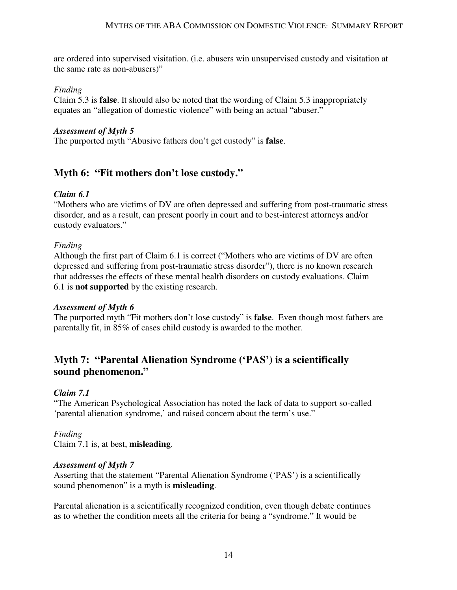are ordered into supervised visitation. (i.e. abusers win unsupervised custody and visitation at the same rate as non-abusers)"

#### *Finding*

Claim 5.3 is **false**. It should also be noted that the wording of Claim 5.3 inappropriately equates an "allegation of domestic violence" with being an actual "abuser."

#### *Assessment of Myth 5*

The purported myth "Abusive fathers don't get custody" is **false**.

## **Myth 6: "Fit mothers don't lose custody."**

### *Claim 6.1*

"Mothers who are victims of DV are often depressed and suffering from post-traumatic stress disorder, and as a result, can present poorly in court and to best-interest attorneys and/or custody evaluators."

### *Finding*

Although the first part of Claim 6.1 is correct ("Mothers who are victims of DV are often depressed and suffering from post-traumatic stress disorder"), there is no known research that addresses the effects of these mental health disorders on custody evaluations. Claim 6.1 is **not supported** by the existing research.

### *Assessment of Myth 6*

The purported myth "Fit mothers don't lose custody" is **false**. Even though most fathers are parentally fit, in 85% of cases child custody is awarded to the mother.

## **Myth 7: "Parental Alienation Syndrome ('PAS') is a scientifically sound phenomenon."**

### *Claim 7.1*

"The American Psychological Association has noted the lack of data to support so-called 'parental alienation syndrome,' and raised concern about the term's use."

### *Finding*

Claim 7.1 is, at best, **misleading**.

### *Assessment of Myth 7*

Asserting that the statement "Parental Alienation Syndrome ('PAS') is a scientifically sound phenomenon" is a myth is **misleading**.

Parental alienation is a scientifically recognized condition, even though debate continues as to whether the condition meets all the criteria for being a "syndrome." It would be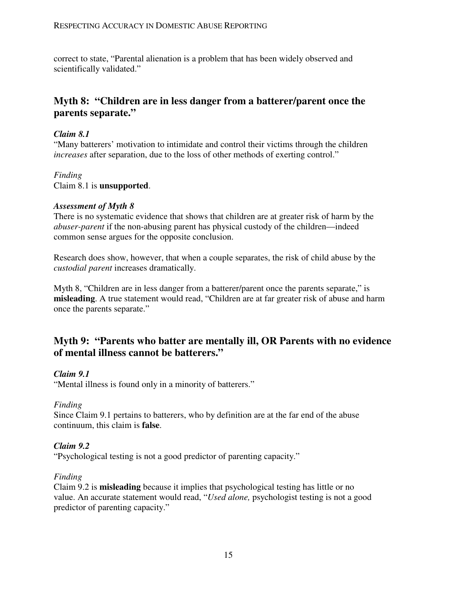correct to state, "Parental alienation is a problem that has been widely observed and scientifically validated."

## **Myth 8: "Children are in less danger from a batterer/parent once the parents separate."**

### *Claim 8.1*

"Many batterers' motivation to intimidate and control their victims through the children *increases* after separation, due to the loss of other methods of exerting control."

## *Finding*

Claim 8.1 is **unsupported**.

### *Assessment of Myth 8*

There is no systematic evidence that shows that children are at greater risk of harm by the *abuser-parent* if the non-abusing parent has physical custody of the children—indeed common sense argues for the opposite conclusion.

Research does show, however, that when a couple separates, the risk of child abuse by the *custodial parent* increases dramatically.

Myth 8, "Children are in less danger from a batterer/parent once the parents separate," is **misleading**. A true statement would read, "Children are at far greater risk of abuse and harm once the parents separate."

## **Myth 9: "Parents who batter are mentally ill, OR Parents with no evidence of mental illness cannot be batterers."**

### *Claim 9.1*

"Mental illness is found only in a minority of batterers."

### *Finding*

Since Claim 9.1 pertains to batterers, who by definition are at the far end of the abuse continuum, this claim is **false**.

### *Claim 9.2*

"Psychological testing is not a good predictor of parenting capacity."

### *Finding*

Claim 9.2 is **misleading** because it implies that psychological testing has little or no value. An accurate statement would read, "*Used alone,* psychologist testing is not a good predictor of parenting capacity."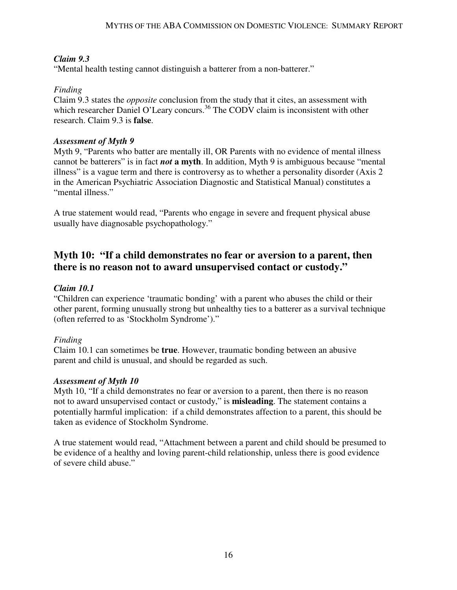### *Claim 9.3*

"Mental health testing cannot distinguish a batterer from a non-batterer."

## *Finding*

Claim 9.3 states the *opposite* conclusion from the study that it cites, an assessment with which researcher Daniel O'Leary concurs.<sup>36</sup> The CODV claim is inconsistent with other research. Claim 9.3 is **false**.

#### *Assessment of Myth 9*

Myth 9, "Parents who batter are mentally ill, OR Parents with no evidence of mental illness cannot be batterers" is in fact *not* **a myth**. In addition, Myth 9 is ambiguous because "mental illness" is a vague term and there is controversy as to whether a personality disorder (Axis 2 in the American Psychiatric Association Diagnostic and Statistical Manual) constitutes a "mental illness."

A true statement would read, "Parents who engage in severe and frequent physical abuse usually have diagnosable psychopathology."

## **Myth 10: "If a child demonstrates no fear or aversion to a parent, then there is no reason not to award unsupervised contact or custody."**

### *Claim 10.1*

"Children can experience 'traumatic bonding' with a parent who abuses the child or their other parent, forming unusually strong but unhealthy ties to a batterer as a survival technique (often referred to as 'Stockholm Syndrome')."

### *Finding*

Claim 10.1 can sometimes be **true**. However, traumatic bonding between an abusive parent and child is unusual, and should be regarded as such.

### *Assessment of Myth 10*

Myth 10, "If a child demonstrates no fear or aversion to a parent, then there is no reason not to award unsupervised contact or custody," is **misleading**. The statement contains a potentially harmful implication: if a child demonstrates affection to a parent, this should be taken as evidence of Stockholm Syndrome.

A true statement would read, "Attachment between a parent and child should be presumed to be evidence of a healthy and loving parent-child relationship, unless there is good evidence of severe child abuse."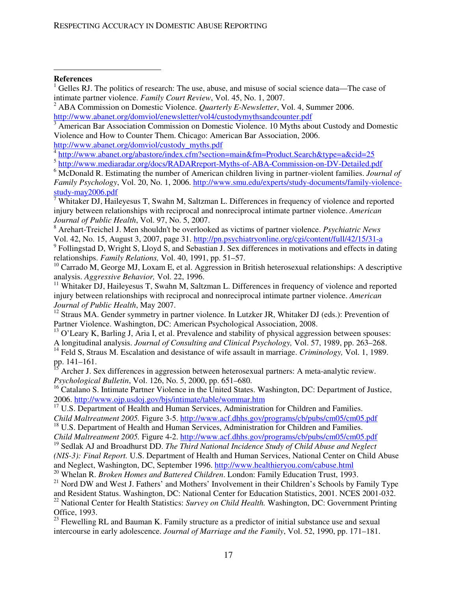#### **References**

 $\overline{a}$ 

http://www.abanet.org/domviol/custody\_myths.pdf

8 Arehart-Treichel J. Men shouldn't be overlooked as victims of partner violence. *Psychiatric News* Vol. 42, No. 15, August 3, 2007, page 31. http://pn.psychiatryonline.org/cgi/content/full/42/15/31-a

<sup>9</sup> Follingstad D, Wright S, Lloyd S, and Sebastian J. Sex differences in motivations and effects in dating relationships. *Family Relations,* Vol. 40, 1991, pp. 51–57.

 $10$  Carrado M, George MJ, Loxam E, et al. Aggression in British heterosexual relationships: A descriptive analysis. *Aggressive Behavior,* Vol. 22, 1996.

<sup>11</sup> Whitaker DJ, Haileyesus T, Swahn M, Saltzman L. Differences in frequency of violence and reported injury between relationships with reciprocal and nonreciprocal intimate partner violence. *American Journal of Public Health*, May 2007.

<sup>12</sup> Straus MA. Gender symmetry in partner violence. In Lutzker JR, Whitaker DJ (eds.): Prevention of Partner Violence. Washington, DC: American Psychological Association, 2008.

 $<sup>13</sup>$  O'Leary K, Barling J, Aria I, et al. Prevalence and stability of physical aggression between spouses:</sup> A longitudinal analysis. *Journal of Consulting and Clinical Psychology,* Vol. 57, 1989, pp. 263–268.

<sup>14</sup> Feld S, Straus M. Escalation and desistance of wife assault in marriage. *Criminology*, Vol. 1, 1989. pp.  $141-161$ .

<sup>15</sup> Archer J. Sex differences in aggression between heterosexual partners: A meta-analytic review. *Psychological Bulletin*, Vol. 126, No. 5, 2000, pp. 651–680.

<sup>16</sup> Catalano S. Intimate Partner Violence in the United States. Washington, DC: Department of Justice, 2006. http://www.ojp.usdoj.gov/bjs/intimate/table/wommar.htm

<sup>17</sup> U.S. Department of Health and Human Services, Administration for Children and Families.

*Child Maltreatment 2005.* Figure 3-5. http://www.acf.dhhs.gov/programs/cb/pubs/cm05/cm05.pdf

<sup>18</sup> U.S. Department of Health and Human Services, Administration for Children and Families. *Child Maltreatment 2005.* Figure 4-2. http://www.acf.dhhs.gov/programs/cb/pubs/cm05/cm05.pdf

<sup>19</sup> Sedlak AJ and Broadhurst DD. *The Third National Incidence Study of Child Abuse and Neglect (NIS-3): Final Report.* U.S. Department of Health and Human Services, National Center on Child Abuse and Neglect, Washington, DC, September 1996. http://www.healthieryou.com/cabuse.html

 $21$  Nord DW and West J. Fathers' and Mothers' Involvement in their Children's Schools by Family Type and Resident Status. Washington, DC: National Center for Education Statistics, 2001. NCES 2001-032. <sup>22</sup> National Center for Health Statistics: *Survey on Child Health*. Washington, DC: Government Printing Office, 1993.

 $23$  Flewelling RL and Bauman K. Family structure as a predictor of initial substance use and sexual intercourse in early adolescence. *Journal of Marriage and the Family*, Vol. 52, 1990, pp. 171–181.

<sup>&</sup>lt;sup>1</sup> Gelles RJ. The politics of research: The use, abuse, and misuse of social science data—The case of intimate partner violence. *Family Court Review*, Vol. 45, No. 1, 2007.

<sup>2</sup> ABA Commission on Domestic Violence. *Quarterly E-Newsletter*, Vol. 4, Summer 2006. http://www.abanet.org/domviol/enewsletter/vol4/custodymythsandcounter.pdf

<sup>&</sup>lt;sup>3</sup> American Bar Association Commission on Domestic Violence. 10 Myths about Custody and Domestic Violence and How to Counter Them. Chicago: American Bar Association, 2006.

<sup>4</sup> http://www.abanet.org/abastore/index.cfm?section=main&fm=Product.Search&type=a&cid=25

<sup>&</sup>lt;sup>5</sup> http://www.mediaradar.org/docs/RADARreport-Myths-of-ABA-Commission-on-DV-Detailed.pdf

<sup>6</sup> McDonald R. Estimating the number of American children living in partner-violent families. *Journal of Family Psychology*, Vol. 20, No. 1, 2006. http://www.smu.edu/experts/study-documents/family-violencestudy-may2006.pdf

<sup>&</sup>lt;sup>7</sup> Whitaker DJ, Haileyesus T, Swahn M, Saltzman L. Differences in frequency of violence and reported injury between relationships with reciprocal and nonreciprocal intimate partner violence. *American Journal of Public Health*, Vol. 97, No. 5, 2007.

<sup>20</sup> Whelan R. *Broken Homes and Battered Children*. London: Family Education Trust, 1993.